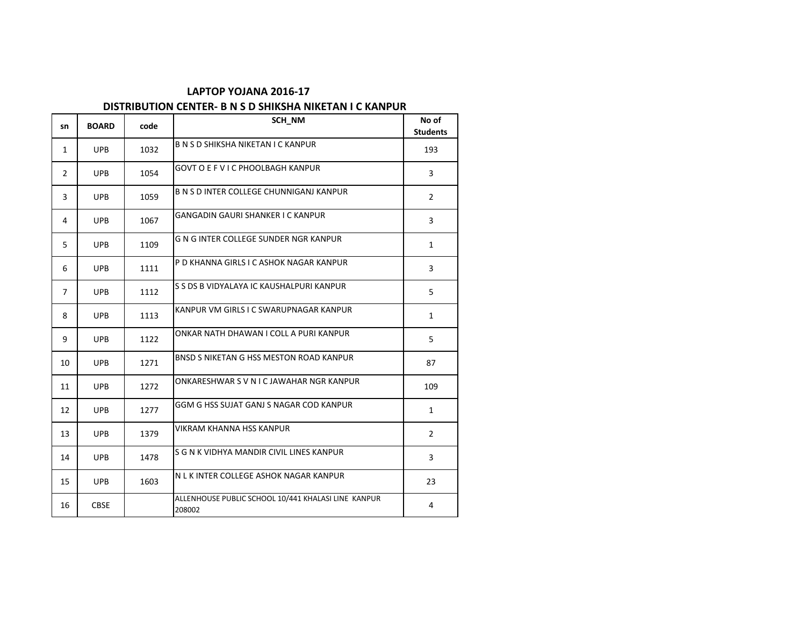#### **LAPTOP YOJANA 2016-17 DISTRIBUTION CENTER- B N S D SHIKSHA NIKETAN I C KANPUR**

# **sn BOARD code SCH\_NM SCH\_NM No of No** of **Students**  $\begin{array}{|c|c|c|c|c|}\n1 & \text{UPB} & 1032 & \text{B\,NS\,D\text{SHIKSHA NIKETAN\,I\,C\,KANPUR} \n\end{array}$ 2 UPB 1054 GOVT O E F V I C PHOOLBAGH KANPUR 3 UPB 1059 B N S D INTER COLLEGE CHUNNIGANJ KANPUR 4 UPB 1067 GANGADIN GAURI SHANKER I C KANPUR 5 UPB 1109 G N G INTER COLLEGE SUNDER NGR KANPUR 6 UPB 1111 P D KHANNA GIRLS I C ASHOK NAGAR KANPUR 7 UPB 1112 S S DS B VIDYALAYA IC KAUSHALPURI KANPUR 8 UPB 1113 KANPUR VM GIRLS I C SWARUPNAGAR KANPUR 9 UPB 1122 ONKAR NATH DHAWAN I COLL A PURI KANPUR 10 UPB 1271 BNSD S NIKETAN G HSS MESTON ROAD KANPUR 87 11 UPB 1272 ONKARESHWAR S V N I C JAWAHAR NGR KANPUR 109 12 UPB 1277 GGM G HSS SUJAT GANJ S NAGAR COD KANPUR 13 UPB 1379 VIKRAM KHANNA HSS KANPUR 2 14 UPB 1478 S G N K VIDHYA MANDIR CIVIL LINES KANPUR 15 UPB 1603 N L K INTER COLLEGE ASHOK NAGAR KANPUR 23 16 CBSE ALLENHOUSE PUBLIC SCHOOL 10/441 KHALASI LINE KANPUR  $208002$  4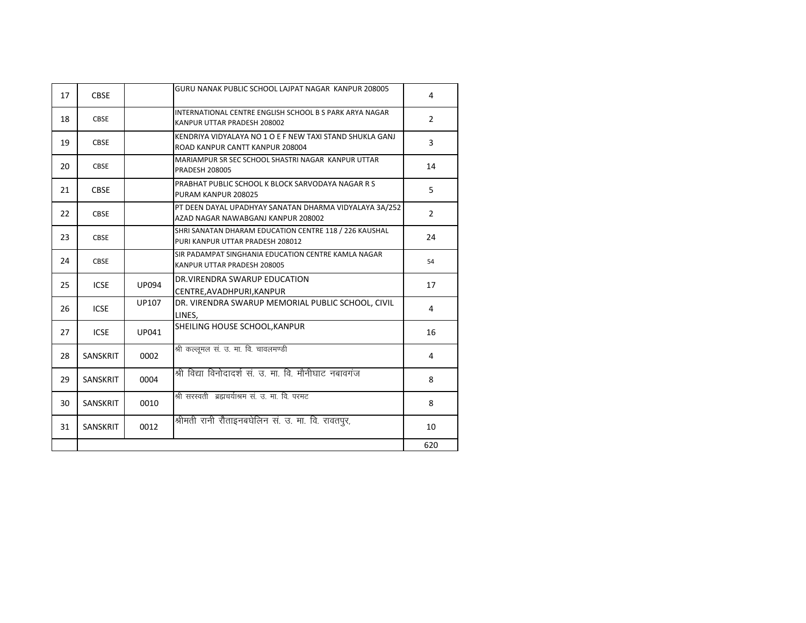| 17 | <b>CBSE</b>     |              | GURU NANAK PUBLIC SCHOOL LAJPAT NAGAR KANPUR 208005                                          | 4              |
|----|-----------------|--------------|----------------------------------------------------------------------------------------------|----------------|
| 18 | <b>CBSE</b>     |              | INTERNATIONAL CENTRE ENGLISH SCHOOL B S PARK ARYA NAGAR<br>KANPUR UTTAR PRADESH 208002       | $\overline{2}$ |
| 19 | <b>CBSE</b>     |              | KENDRIYA VIDYALAYA NO 1 O E F NEW TAXI STAND SHUKLA GANJ<br>ROAD KANPUR CANTT KANPUR 208004  | 3              |
| 20 | <b>CBSE</b>     |              | MARIAMPUR SR SEC SCHOOL SHASTRI NAGAR KANPUR UTTAR<br><b>PRADESH 208005</b>                  | 14             |
| 21 | <b>CBSE</b>     |              | PRABHAT PUBLIC SCHOOL K BLOCK SARVODAYA NAGAR R S<br>PURAM KANPUR 208025                     | 5              |
| 22 | <b>CBSE</b>     |              | PT DEEN DAYAL UPADHYAY SANATAN DHARMA VIDYALAYA 3A/252<br>AZAD NAGAR NAWABGANJ KANPUR 208002 | $\overline{2}$ |
| 23 | <b>CBSE</b>     |              | SHRI SANATAN DHARAM EDUCATION CENTRE 118 / 226 KAUSHAL<br>PURI KANPUR UTTAR PRADESH 208012   | 24             |
| 24 | <b>CBSE</b>     |              | SIR PADAMPAT SINGHANIA EDUCATION CENTRE KAMLA NAGAR<br>KANPUR UTTAR PRADESH 208005           | 54             |
| 25 | <b>ICSE</b>     | <b>UP094</b> | DR. VIRENDRA SWARUP EDUCATION<br>CENTRE, AVADHPURI, KANPUR                                   | 17             |
| 26 | <b>ICSE</b>     | UP107        | DR. VIRENDRA SWARUP MEMORIAL PUBLIC SCHOOL, CIVIL<br>LINES.                                  | 4              |
| 27 | <b>ICSE</b>     | UP041        | SHEILING HOUSE SCHOOL, KANPUR                                                                | 16             |
| 28 | <b>SANSKRIT</b> | 0002         | श्री कल्लूमल सं. उ. मा. वि. चावलमण्डी                                                        | 4              |
| 29 | <b>SANSKRIT</b> | 0004         | श्री विद्या विनोदादर्श सं. उ. मा. वि. मौनीघाट नबावगंज                                        | 8              |
| 30 | <b>SANSKRIT</b> | 0010         | श्री सरस्वती ब्रह्मचर्याश्रम सं. उ. मा. वि. परमट                                             | 8              |
| 31 | <b>SANSKRIT</b> | 0012         | श्रीमती रानी रौताइनबघेलिन सं. उ. मा. वि. रावतपूर,                                            | 10             |
|    |                 |              |                                                                                              | 620            |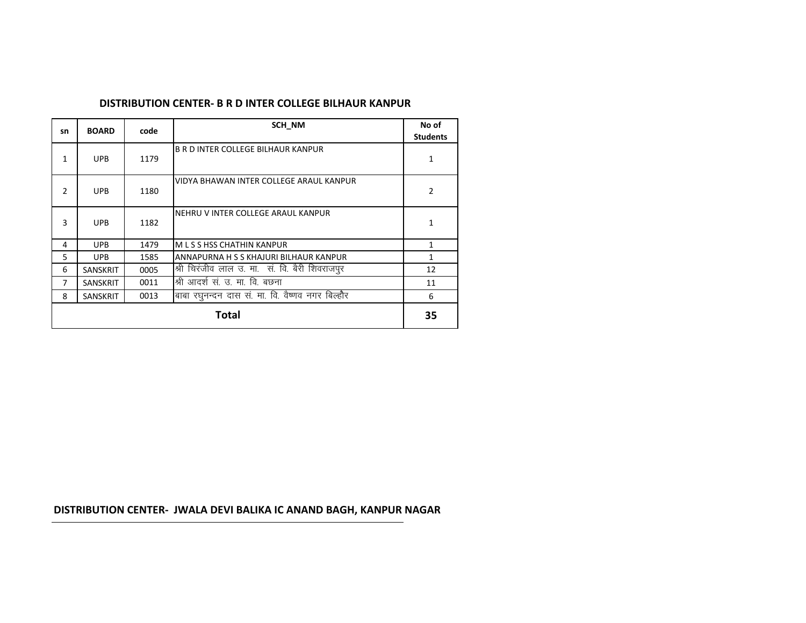#### **DISTRIBUTION CENTER- B R D INTER COLLEGE BILHAUR KANPUR**

| sn            | <b>BOARD</b>    | code | SCH NM                                           | No of<br><b>Students</b> |  |
|---------------|-----------------|------|--------------------------------------------------|--------------------------|--|
|               |                 |      |                                                  |                          |  |
| 1             | <b>UPB</b>      | 1179 | <b>B R D INTER COLLEGE BILHAUR KANPUR</b>        | 1                        |  |
| $\mathcal{P}$ | <b>UPB</b>      | 1180 | VIDYA BHAWAN INTER COLLEGE ARAUL KANPUR          | $\overline{2}$           |  |
| 3             | <b>UPB</b>      | 1182 | NEHRU V INTER COLLEGE ARAUL KANPUR               | 1                        |  |
| 4             | <b>UPB</b>      | 1479 | M L S S HSS CHATHIN KANPUR                       | 1                        |  |
| 5.            | <b>UPB</b>      | 1585 | ANNAPURNA H S S KHAJURI BILHAUR KANPUR           | 1                        |  |
| 6             | <b>SANSKRIT</b> | 0005 | श्री चिरंजीव लाल उ. मा. सं. वि. बैरी शिवराजपूर   | 12                       |  |
| 7             | <b>SANSKRIT</b> | 0011 | श्री आदर्श सं. उ. मा. वि. बछना                   | 11                       |  |
| 8             | <b>SANSKRIT</b> | 0013 | बाबा रघुनन्दन दास सं. मा. वि. वैष्णव नगर बिल्हौर | 6                        |  |
|               | <b>Total</b>    |      |                                                  |                          |  |

# **DISTRIBUTION CENTER- JWALA DEVI BALIKA IC ANAND BAGH, KANPUR NAGAR**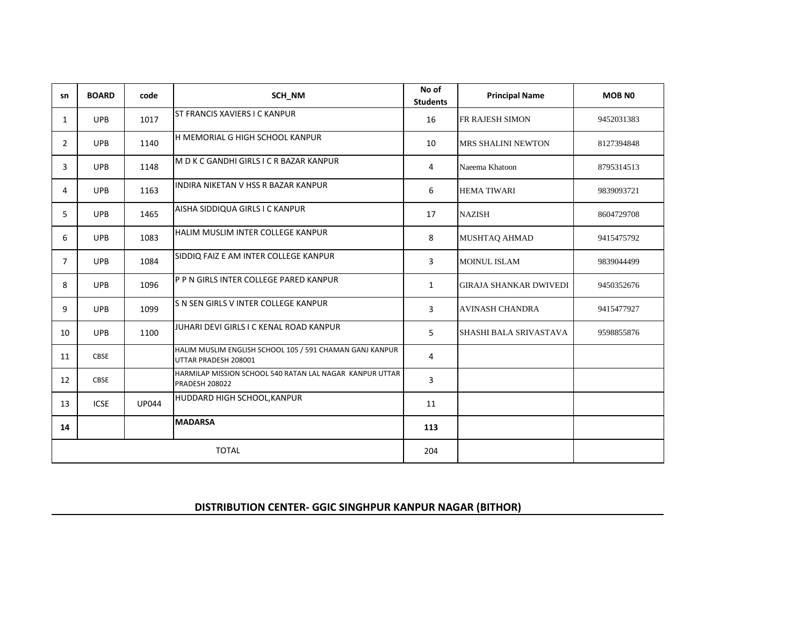| sn             | <b>BOARD</b> | code         | SCH NM                                                                            | No of<br><b>Students</b> | <b>Principal Name</b>         | <b>MOB NO</b> |
|----------------|--------------|--------------|-----------------------------------------------------------------------------------|--------------------------|-------------------------------|---------------|
| $\mathbf{1}$   | <b>UPB</b>   | 1017         | <b>ST FRANCIS XAVIERS I C KANPUR</b>                                              | 16                       | FR RAJESH SIMON               | 9452031383    |
| $\overline{2}$ | <b>UPB</b>   | 1140         | H MEMORIAL G HIGH SCHOOL KANPUR                                                   | 10                       | <b>MRS SHALINI NEWTON</b>     | 8127394848    |
| 3              | <b>UPB</b>   | 1148         | M D K C GANDHI GIRLS I C R BAZAR KANPUR                                           | 4                        | Naeema Khatoon                | 8795314513    |
| 4              | <b>UPB</b>   | 1163         | INDIRA NIKETAN V HSS R BAZAR KANPUR                                               | 6                        | <b>HEMA TIWARI</b>            | 9839093721    |
| 5.             | <b>UPB</b>   | 1465         | AISHA SIDDIQUA GIRLS I C KANPUR                                                   | 17                       | <b>NAZISH</b>                 | 8604729708    |
| 6              | <b>UPB</b>   | 1083         | HALIM MUSLIM INTER COLLEGE KANPUR                                                 | 8                        | <b>MUSHTAO AHMAD</b>          | 9415475792    |
| 7              | <b>UPB</b>   | 1084         | SIDDIQ FAIZ E AM INTER COLLEGE KANPUR                                             | 3                        | <b>MOINUL ISLAM</b>           | 9839044499    |
| 8              | <b>UPB</b>   | 1096         | P P N GIRLS INTER COLLEGE PARED KANPUR                                            | $\mathbf{1}$             | <b>GIRAJA SHANKAR DWIVEDI</b> | 9450352676    |
| 9              | <b>UPB</b>   | 1099         | S N SEN GIRLS V INTER COLLEGE KANPUR                                              | 3                        | <b>AVINASH CHANDRA</b>        | 9415477927    |
| 10             | <b>UPB</b>   | 1100         | JUHARI DEVI GIRLS I C KENAL ROAD KANPUR                                           | 5                        | SHASHI BALA SRIVASTAVA        | 9598855876    |
| 11             | <b>CBSE</b>  |              | HALIM MUSLIM ENGLISH SCHOOL 105 / 591 CHAMAN GANJ KANPUR<br>UTTAR PRADESH 208001  | 4                        |                               |               |
| 12             | <b>CBSE</b>  |              | HARMILAP MISSION SCHOOL 540 RATAN LAL NAGAR KANPUR UTTAR<br><b>PRADESH 208022</b> | $\overline{3}$           |                               |               |
| 13             | <b>ICSE</b>  | <b>UP044</b> | HUDDARD HIGH SCHOOL, KANPUR                                                       | 11                       |                               |               |
| 14             |              |              | <b>MADARSA</b>                                                                    | 113                      |                               |               |
|                | <b>TOTAL</b> |              |                                                                                   |                          |                               |               |

### **DISTRIBUTION CENTER- GGIC SINGHPUR KANPUR NAGAR (BITHOR)**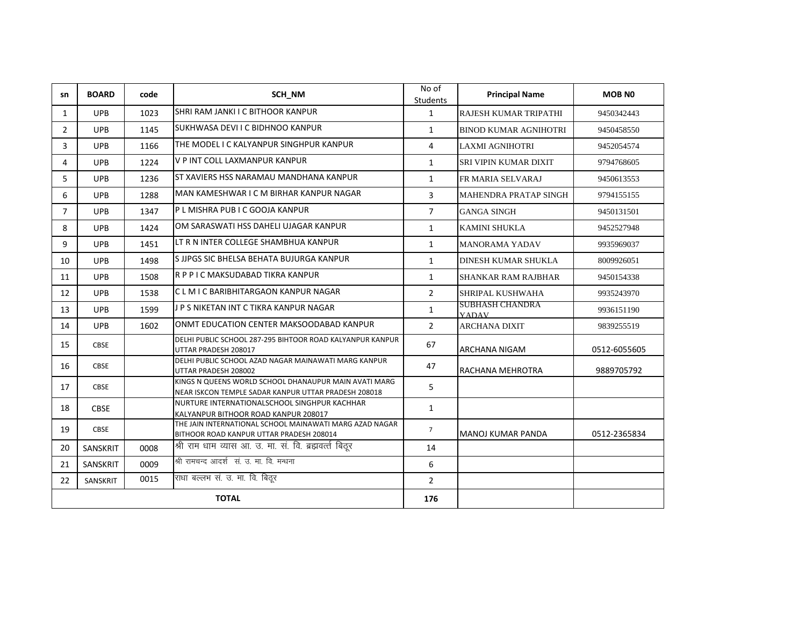| sn             | <b>BOARD</b> | code | SCH NM                                                                                                        | No of<br>Students | <b>Principal Name</b>                  | <b>MOB NO</b> |
|----------------|--------------|------|---------------------------------------------------------------------------------------------------------------|-------------------|----------------------------------------|---------------|
| $\mathbf{1}$   | <b>UPB</b>   | 1023 | SHRI RAM JANKI I C BITHOOR KANPUR                                                                             | $\mathbf{1}$      | RAJESH KUMAR TRIPATHI                  | 9450342443    |
| $\overline{2}$ | <b>UPB</b>   | 1145 | SUKHWASA DEVI I C BIDHNOO KANPUR                                                                              | $\mathbf{1}$      | <b>BINOD KUMAR AGNIHOTRI</b>           | 9450458550    |
| 3              | <b>UPB</b>   | 1166 | THE MODEL I C KALYANPUR SINGHPUR KANPUR                                                                       | 4                 | <b>LAXMI AGNIHOTRI</b>                 | 9452054574    |
| 4              | <b>UPB</b>   | 1224 | V P INT COLL LAXMANPUR KANPUR                                                                                 | $\mathbf{1}$      | <b>SRI VIPIN KUMAR DIXIT</b>           | 9794768605    |
| 5              | <b>UPB</b>   | 1236 | ST XAVIERS HSS NARAMAU MANDHANA KANPUR                                                                        | $\mathbf{1}$      | FR MARIA SELVARAJ                      | 9450613553    |
| 6              | <b>UPB</b>   | 1288 | MAN KAMESHWAR I C M BIRHAR KANPUR NAGAR                                                                       | 3                 | <b>MAHENDRA PRATAP SINGH</b>           | 9794155155    |
| $\overline{7}$ | <b>UPB</b>   | 1347 | P L MISHRA PUB I C GOOJA KANPUR                                                                               | $\overline{7}$    | <b>GANGA SINGH</b>                     | 9450131501    |
| 8              | <b>UPB</b>   | 1424 | OM SARASWATI HSS DAHELI UJAGAR KANPUR                                                                         | $\mathbf{1}$      | <b>KAMINI SHUKLA</b>                   | 9452527948    |
| 9              | <b>UPB</b>   | 1451 | LT R N INTER COLLEGE SHAMBHUA KANPUR                                                                          | $\mathbf{1}$      | <b>MANORAMA YADAV</b>                  | 9935969037    |
| 10             | <b>UPB</b>   | 1498 | S JJPGS SIC BHELSA BEHATA BUJURGA KANPUR                                                                      | $\mathbf{1}$      | <b>DINESH KUMAR SHUKLA</b>             | 8009926051    |
| 11             | <b>UPB</b>   | 1508 | R P P I C MAKSUDABAD TIKRA KANPUR                                                                             | $\mathbf{1}$      | <b>SHANKAR RAM RAJBHAR</b>             | 9450154338    |
| 12             | <b>UPB</b>   | 1538 | CLMICBARIBHITARGAON KANPUR NAGAR                                                                              | $\overline{2}$    | SHRIPAL KUSHWAHA                       | 9935243970    |
| 13             | <b>UPB</b>   | 1599 | J P S NIKETAN INT C TIKRA KANPUR NAGAR                                                                        | $\mathbf{1}$      | <b>SUBHASH CHANDRA</b><br><b>YADAV</b> | 9936151190    |
| 14             | <b>UPB</b>   | 1602 | ONMT EDUCATION CENTER MAKSOODABAD KANPUR                                                                      | $\overline{2}$    | <b>ARCHANA DIXIT</b>                   | 9839255519    |
| 15             | <b>CBSE</b>  |      | DELHI PUBLIC SCHOOL 287-295 BIHTOOR ROAD KALYANPUR KANPUR<br>UTTAR PRADESH 208017                             | 67                | <b>ARCHANA NIGAM</b>                   | 0512-6055605  |
| 16             | <b>CBSE</b>  |      | DELHI PUBLIC SCHOOL AZAD NAGAR MAINAWATI MARG KANPUR<br>UTTAR PRADESH 208002                                  | 47                | <b>RACHANA MEHROTRA</b>                | 9889705792    |
| 17             | <b>CBSE</b>  |      | KINGS N QUEENS WORLD SCHOOL DHANAUPUR MAIN AVATI MARG<br>NEAR ISKCON TEMPLE SADAR KANPUR UTTAR PRADESH 208018 | 5                 |                                        |               |
| 18             | <b>CBSE</b>  |      | NURTURE INTERNATIONALSCHOOL SINGHPUR KACHHAR<br>KALYANPUR BITHOOR ROAD KANPUR 208017                          | $\mathbf{1}$      |                                        |               |
| 19             | CBSE         |      | THE JAIN INTERNATIONAL SCHOOL MAINAWATI MARG AZAD NAGAR<br>BITHOOR ROAD KANPUR UTTAR PRADESH 208014           | $\overline{7}$    | MANOJ KUMAR PANDA                      | 0512-2365834  |
| 20             | SANSKRIT     | 0008 | श्री राम घाम व्यास आ. उ. मा. सं. वि. ब्रह्मवर्त्त बिठ्र                                                       | 14                |                                        |               |
| 21             | SANSKRIT     | 0009 | श्री रामचन्द आदर्श सं. उ. मा. वि. मन्धना                                                                      | 6                 |                                        |               |
| 22             | SANSKRIT     | 0015 | राधा बल्लभ सं. उ. मा. वि. बिठूर                                                                               | $\overline{2}$    |                                        |               |
|                |              |      | <b>TOTAL</b>                                                                                                  | 176               |                                        |               |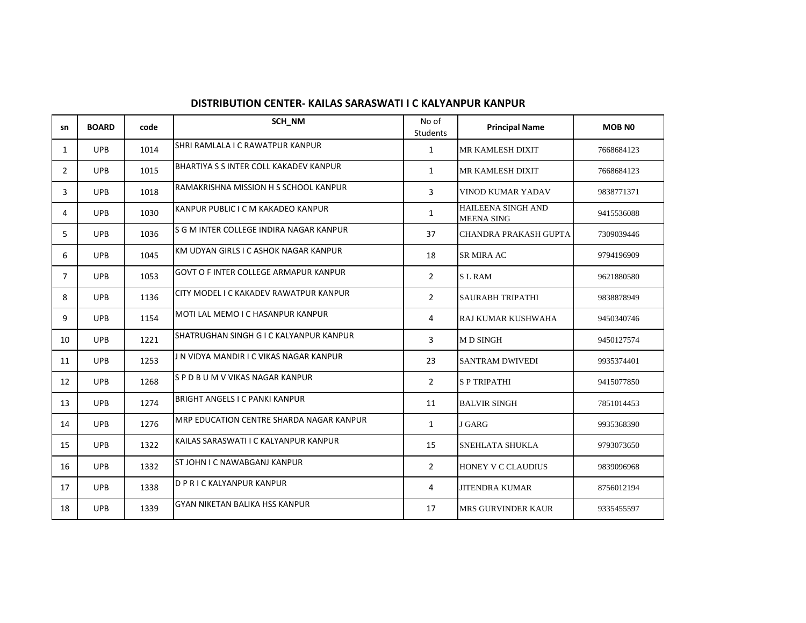| sn             | <b>BOARD</b> | code | SCH NM                                       | No of<br><b>Students</b> | <b>Principal Name</b>                          | <b>MOB NO</b> |
|----------------|--------------|------|----------------------------------------------|--------------------------|------------------------------------------------|---------------|
| 1              | <b>UPB</b>   | 1014 | SHRI RAMLALA I C RAWATPUR KANPUR             | $\mathbf{1}$             | <b>MR KAMLESH DIXIT</b>                        | 7668684123    |
| $\overline{2}$ | <b>UPB</b>   | 1015 | BHARTIYA S S INTER COLL KAKADEV KANPUR       | $\mathbf{1}$             | <b>MR KAMLESH DIXIT</b>                        | 7668684123    |
| 3              | <b>UPB</b>   | 1018 | RAMAKRISHNA MISSION H S SCHOOL KANPUR        | 3                        | <b>VINOD KUMAR YADAV</b>                       | 9838771371    |
| 4              | <b>UPB</b>   | 1030 | KANPUR PUBLIC I C M KAKADEO KANPUR           | 1                        | <b>HAILEENA SINGH AND</b><br><b>MEENA SING</b> | 9415536088    |
| 5              | <b>UPB</b>   | 1036 | S G M INTER COLLEGE INDIRA NAGAR KANPUR      | 37                       | CHANDRA PRAKASH GUPTA                          | 7309039446    |
| 6              | <b>UPB</b>   | 1045 | KM UDYAN GIRLS I C ASHOK NAGAR KANPUR        | 18                       | <b>SR MIRA AC</b>                              | 9794196909    |
| $\overline{7}$ | <b>UPB</b>   | 1053 | <b>GOVT O F INTER COLLEGE ARMAPUR KANPUR</b> | $\overline{2}$           | <b>SLRAM</b>                                   | 9621880580    |
| 8              | <b>UPB</b>   | 1136 | CITY MODEL I C KAKADEV RAWATPUR KANPUR       | $\overline{2}$           | <b>SAURABH TRIPATHI</b>                        | 9838878949    |
| 9              | <b>UPB</b>   | 1154 | MOTI LAL MEMO I C HASANPUR KANPUR            | 4                        | RAJ KUMAR KUSHWAHA                             | 9450340746    |
| 10             | <b>UPB</b>   | 1221 | SHATRUGHAN SINGH G I C KALYANPUR KANPUR      | 3                        | <b>MD SINGH</b>                                | 9450127574    |
| 11             | <b>UPB</b>   | 1253 | J N VIDYA MANDIR I C VIKAS NAGAR KANPUR      | 23                       | <b>SANTRAM DWIVEDI</b>                         | 9935374401    |
| 12             | <b>UPB</b>   | 1268 | SPDBUMVVIKAS NAGAR KANPUR                    | $\overline{2}$           | <b>SP TRIPATHI</b>                             | 9415077850    |
| 13             | <b>UPB</b>   | 1274 | <b>BRIGHT ANGELS I C PANKI KANPUR</b>        | 11                       | <b>BALVIR SINGH</b>                            | 7851014453    |
| 14             | <b>UPB</b>   | 1276 | MRP EDUCATION CENTRE SHARDA NAGAR KANPUR     | 1                        | <b>J GARG</b>                                  | 9935368390    |
| 15             | <b>UPB</b>   | 1322 | KAILAS SARASWATI I C KALYANPUR KANPUR        | 15                       | <b>SNEHLATA SHUKLA</b>                         | 9793073650    |
| 16             | <b>UPB</b>   | 1332 | <b>ST JOHN I C NAWABGANJ KANPUR</b>          | $\overline{2}$           | <b>HONEY V C CLAUDIUS</b>                      | 9839096968    |
| 17             | <b>UPB</b>   | 1338 | D P R I C KALYANPUR KANPUR                   | 4                        | <b>JITENDRA KUMAR</b>                          | 8756012194    |
| 18             | <b>UPB</b>   | 1339 | <b>GYAN NIKETAN BALIKA HSS KANPUR</b>        | 17                       | <b>MRS GURVINDER KAUR</b>                      | 9335455597    |

## **DISTRIBUTION CENTER- KAILAS SARASWATI I C KALYANPUR KANPUR**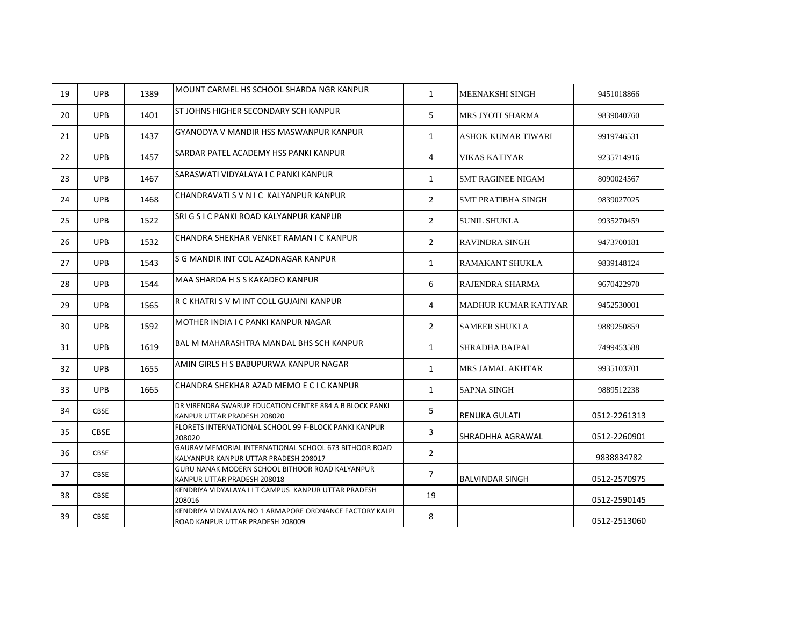| 19 | <b>UPB</b>  | 1389 | MOUNT CARMEL HS SCHOOL SHARDA NGR KANPUR                                                       | $\mathbf{1}$   | <b>MEENAKSHI SINGH</b>      | 9451018866   |
|----|-------------|------|------------------------------------------------------------------------------------------------|----------------|-----------------------------|--------------|
| 20 | <b>UPB</b>  | 1401 | ST JOHNS HIGHER SECONDARY SCH KANPUR                                                           | 5              | MRS JYOTI SHARMA            | 9839040760   |
| 21 | <b>UPB</b>  | 1437 | GYANODYA V MANDIR HSS MASWANPUR KANPUR                                                         | $\mathbf{1}$   | <b>ASHOK KUMAR TIWARI</b>   | 9919746531   |
| 22 | <b>UPB</b>  | 1457 | SARDAR PATEL ACADEMY HSS PANKI KANPUR                                                          | 4              | VIKAS KATIYAR               | 9235714916   |
| 23 | <b>UPB</b>  | 1467 | SARASWATI VIDYALAYA I C PANKI KANPUR                                                           | $\mathbf{1}$   | <b>SMT RAGINEE NIGAM</b>    | 8090024567   |
| 24 | <b>UPB</b>  | 1468 | CHANDRAVATI S V N I C KALYANPUR KANPUR                                                         | $\overline{2}$ | <b>SMT PRATIBHA SINGH</b>   | 9839027025   |
| 25 | <b>UPB</b>  | 1522 | SRI G S I C PANKI ROAD KALYANPUR KANPUR                                                        | $\overline{2}$ | <b>SUNIL SHUKLA</b>         | 9935270459   |
| 26 | <b>UPB</b>  | 1532 | CHANDRA SHEKHAR VENKET RAMAN I C KANPUR                                                        | $\overline{2}$ | <b>RAVINDRA SINGH</b>       | 9473700181   |
| 27 | <b>UPB</b>  | 1543 | S G MANDIR INT COL AZADNAGAR KANPUR                                                            | $\mathbf{1}$   | <b>RAMAKANT SHUKLA</b>      | 9839148124   |
| 28 | <b>UPB</b>  | 1544 | MAA SHARDA H S S KAKADEO KANPUR                                                                | 6              | RAJENDRA SHARMA             | 9670422970   |
| 29 | <b>UPB</b>  | 1565 | R C KHATRI S V M INT COLL GUJAINI KANPUR                                                       | 4              | <b>MADHUR KUMAR KATIYAR</b> | 9452530001   |
| 30 | <b>UPB</b>  | 1592 | MOTHER INDIA I C PANKI KANPUR NAGAR                                                            | $\overline{2}$ | <b>SAMEER SHUKLA</b>        | 9889250859   |
| 31 | <b>UPB</b>  | 1619 | BAL M MAHARASHTRA MANDAL BHS SCH KANPUR                                                        | $\mathbf{1}$   | <b>SHRADHA BAJPAI</b>       | 7499453588   |
| 32 | <b>UPB</b>  | 1655 | AMIN GIRLS H S BABUPURWA KANPUR NAGAR                                                          | $\mathbf{1}$   | MRS JAMAL AKHTAR            | 9935103701   |
| 33 | <b>UPB</b>  | 1665 | CHANDRA SHEKHAR AZAD MEMO E C I C KANPUR                                                       | $\mathbf{1}$   | <b>SAPNA SINGH</b>          | 9889512238   |
| 34 | <b>CBSE</b> |      | DR VIRENDRA SWARUP EDUCATION CENTRE 884 A B BLOCK PANKL<br>KANPUR UTTAR PRADESH 208020         | 5              | IRENUKA GULATI              | 0512-2261313 |
| 35 | <b>CBSE</b> |      | FLORETS INTERNATIONAL SCHOOL 99 F-BLOCK PANKI KANPUR<br>208020                                 | 3              | SHRADHHA AGRAWAL            | 0512-2260901 |
| 36 | <b>CBSE</b> |      | GAURAV MEMORIAL INTERNATIONAL SCHOOL 673 BITHOOR ROAD<br>KALYANPUR KANPUR UTTAR PRADESH 208017 | $\overline{2}$ |                             | 9838834782   |
| 37 | <b>CBSE</b> |      | GURU NANAK MODERN SCHOOL BITHOOR ROAD KALYANPUR<br>KANPUR UTTAR PRADESH 208018                 | $\overline{7}$ | BALVINDAR SINGH             | 0512-2570975 |
| 38 | <b>CBSE</b> |      | KENDRIYA VIDYALAYA I I T CAMPUS KANPUR UTTAR PRADESH<br>208016                                 | 19             |                             | 0512-2590145 |
| 39 | <b>CBSE</b> |      | KENDRIYA VIDYALAYA NO 1 ARMAPORE ORDNANCE FACTORY KALPI<br>ROAD KANPUR UTTAR PRADESH 208009    | 8              |                             | 0512-2513060 |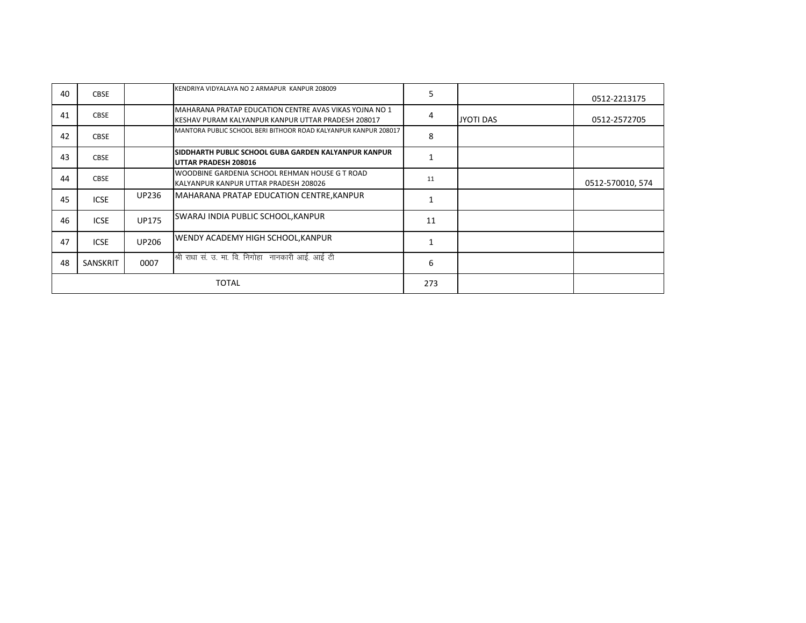| 40 | <b>CBSE</b> |              | KENDRIYA VIDYALAYA NO 2 ARMAPUR KANPUR 208009                                                                 | 5   |           | 0512-2213175     |
|----|-------------|--------------|---------------------------------------------------------------------------------------------------------------|-----|-----------|------------------|
| 41 | <b>CBSE</b> |              | IMAHARANA PRATAP EDUCATION CENTRE AVAS VIKAS YOJNA NO 1<br>KESHAV PURAM KALYANPUR KANPUR UTTAR PRADESH 208017 | 4   | JYOTI DAS | 0512-2572705     |
| 42 | <b>CBSE</b> |              | MANTORA PUBLIC SCHOOL BERI BITHOOR ROAD KALYANPUR KANPUR 208017                                               | 8   |           |                  |
| 43 | <b>CBSE</b> |              | SIDDHARTH PUBLIC SCHOOL GUBA GARDEN KALYANPUR KANPUR<br>UTTAR PRADESH 208016                                  |     |           |                  |
| 44 | <b>CBSE</b> |              | WOODBINE GARDENIA SCHOOL REHMAN HOUSE G T ROAD<br>KALYANPUR KANPUR UTTAR PRADESH 208026                       | 11  |           | 0512-570010, 574 |
| 45 | <b>ICSE</b> | <b>UP236</b> | MAHARANA PRATAP EDUCATION CENTRE, KANPUR                                                                      |     |           |                  |
| 46 | <b>ICSE</b> | <b>UP175</b> | SWARAJ INDIA PUBLIC SCHOOL, KANPUR                                                                            | 11  |           |                  |
| 47 | <b>ICSE</b> | <b>UP206</b> | WENDY ACADEMY HIGH SCHOOL, KANPUR                                                                             |     |           |                  |
| 48 | SANSKRIT    | 0007         | श्री राधा सं. उ. मा. वि. निगोहा नानकारी आई. आई टी                                                             | 6   |           |                  |
|    |             |              | <b>TOTAL</b>                                                                                                  | 273 |           |                  |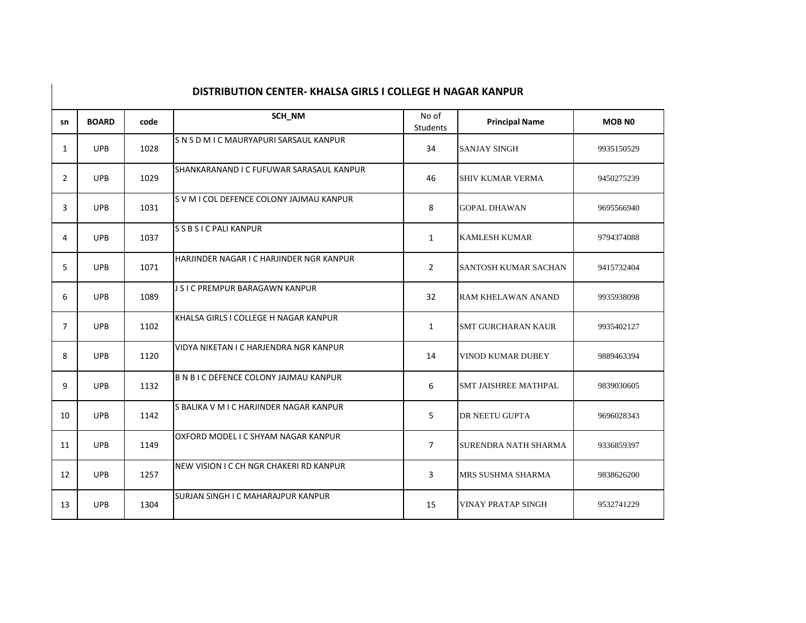| sn             | <b>BOARD</b> | code | SCH_NM                                        | No of<br><b>Students</b> | <b>Principal Name</b>       | <b>MOB NO</b> |
|----------------|--------------|------|-----------------------------------------------|--------------------------|-----------------------------|---------------|
| $\mathbf{1}$   | <b>UPB</b>   | 1028 | SNSDMICMAURYAPURI SARSAUL KANPUR              | 34                       | <b>SANJAY SINGH</b>         | 9935150529    |
| $\overline{2}$ | <b>UPB</b>   | 1029 | SHANKARANAND I C FUFUWAR SARASAUL KANPUR      | 46                       | <b>SHIV KUMAR VERMA</b>     | 9450275239    |
| 3              | <b>UPB</b>   | 1031 | S V M I COL DEFENCE COLONY JAJMAU KANPUR      | 8                        | <b>GOPAL DHAWAN</b>         | 9695566940    |
| 4              | <b>UPB</b>   | 1037 | S S B S I C PALI KANPUR                       | $\mathbf{1}$             | <b>KAMLESH KUMAR</b>        | 9794374088    |
| 5              | <b>UPB</b>   | 1071 | HARJINDER NAGAR I C HARJINDER NGR KANPUR      | $\overline{2}$           | <b>SANTOSH KUMAR SACHAN</b> | 9415732404    |
| 6              | <b>UPB</b>   | 1089 | J S I C PREMPUR BARAGAWN KANPUR               | 32                       | RAM KHELAWAN ANAND          | 9935938098    |
| $\overline{7}$ | <b>UPB</b>   | 1102 | KHALSA GIRLS I COLLEGE H NAGAR KANPUR         | $\mathbf{1}$             | <b>SMT GURCHARAN KAUR</b>   | 9935402127    |
| 8              | <b>UPB</b>   | 1120 | VIDYA NIKETAN I C HARJENDRA NGR KANPUR        | 14                       | <b>VINOD KUMAR DUBEY</b>    | 9889463394    |
| q              | <b>UPB</b>   | 1132 | <b>B N B I C DEFENCE COLONY JAJMAU KANPUR</b> | 6                        | <b>SMT JAISHREE MATHPAL</b> | 9839030605    |
| 10             | <b>UPB</b>   | 1142 | S BALIKA V M I C HARJINDER NAGAR KANPUR       | 5                        | DR NEETU GUPTA              | 9696028343    |
| 11             | <b>UPB</b>   | 1149 | OXFORD MODEL I C SHYAM NAGAR KANPUR           | $\overline{7}$           | <b>SURENDRA NATH SHARMA</b> | 9336859397    |
| 12             | <b>UPB</b>   | 1257 | NEW VISION I C CH NGR CHAKERI RD KANPUR       | 3                        | MRS SUSHMA SHARMA           | 9838626200    |
| 13             | <b>UPB</b>   | 1304 | SURJAN SINGH I C MAHARAJPUR KANPUR            | 15                       | <b>VINAY PRATAP SINGH</b>   | 9532741229    |

## **DISTRIBUTION CENTER- KHALSA GIRLS I COLLEGE H NAGAR KANPUR**

 $\mathbf{I}$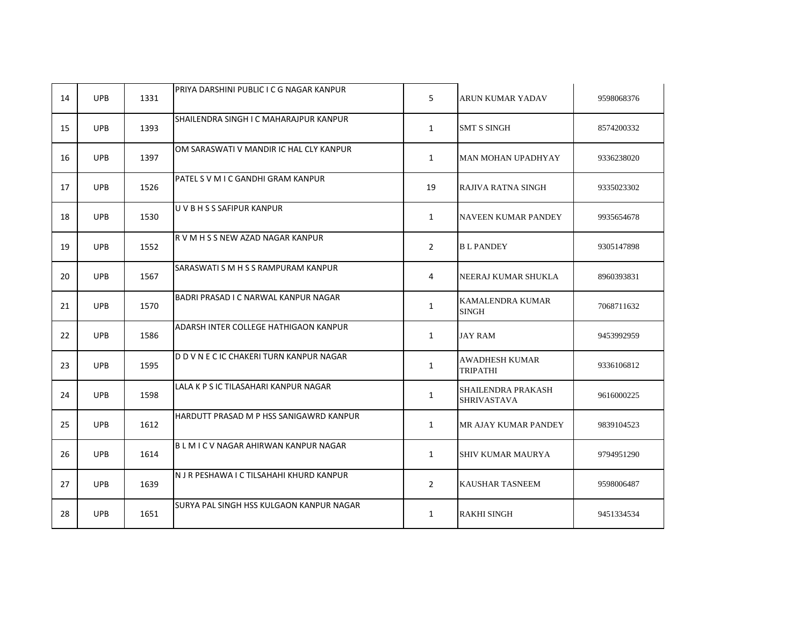| 14 | <b>UPB</b> | 1331 | PRIYA DARSHINI PUBLIC I C G NAGAR KANPUR | 5              | ARUN KUMAR YADAV                         | 9598068376 |
|----|------------|------|------------------------------------------|----------------|------------------------------------------|------------|
| 15 | <b>UPB</b> | 1393 | SHAILENDRA SINGH I C MAHARAJPUR KANPUR   | $\mathbf{1}$   | <b>SMT S SINGH</b>                       | 8574200332 |
| 16 | <b>UPB</b> | 1397 | OM SARASWATI V MANDIR IC HAL CLY KANPUR  | $\mathbf{1}$   | MAN MOHAN UPADHYAY                       | 9336238020 |
| 17 | <b>UPB</b> | 1526 | PATEL S V M I C GANDHI GRAM KANPUR       | 19             | RAJIVA RATNA SINGH                       | 9335023302 |
| 18 | <b>UPB</b> | 1530 | U V B H S S SAFIPUR KANPUR               | $\mathbf{1}$   | NAVEEN KUMAR PANDEY                      | 9935654678 |
| 19 | <b>UPB</b> | 1552 | R V M H S S NEW AZAD NAGAR KANPUR        | $\overline{2}$ | <b>BL PANDEY</b>                         | 9305147898 |
| 20 | <b>UPB</b> | 1567 | SARASWATI S M H S S RAMPURAM KANPUR      | 4              | NEERAJ KUMAR SHUKLA                      | 8960393831 |
| 21 | <b>UPB</b> | 1570 | BADRI PRASAD I C NARWAL KANPUR NAGAR     | $\mathbf{1}$   | KAMALENDRA KUMAR<br><b>SINGH</b>         | 7068711632 |
| 22 | <b>UPB</b> | 1586 | ADARSH INTER COLLEGE HATHIGAON KANPUR    | $\mathbf{1}$   | JAY RAM                                  | 9453992959 |
| 23 | <b>UPB</b> | 1595 | D D V N E C IC CHAKERI TURN KANPUR NAGAR | $\mathbf{1}$   | <b>AWADHESH KUMAR</b><br>TRIPATHI        | 9336106812 |
| 24 | <b>UPB</b> | 1598 | LALA K P S IC TILASAHARI KANPUR NAGAR    | $\mathbf{1}$   | SHAILENDRA PRAKASH<br><b>SHRIVASTAVA</b> | 9616000225 |
| 25 | <b>UPB</b> | 1612 | HARDUTT PRASAD M P HSS SANIGAWRD KANPUR  | $\mathbf{1}$   | MR AJAY KUMAR PANDEY                     | 9839104523 |
| 26 | <b>UPB</b> | 1614 | BLMICV NAGAR AHIRWAN KANPUR NAGAR        | $\mathbf{1}$   | SHIV KUMAR MAURYA                        | 9794951290 |
| 27 | <b>UPB</b> | 1639 | N J R PESHAWA I C TILSAHAHI KHURD KANPUR | $\overline{2}$ | KAUSHAR TASNEEM                          | 9598006487 |
| 28 | <b>UPB</b> | 1651 | SURYA PAL SINGH HSS KULGAON KANPUR NAGAR | $\mathbf{1}$   | RAKHI SINGH                              | 9451334534 |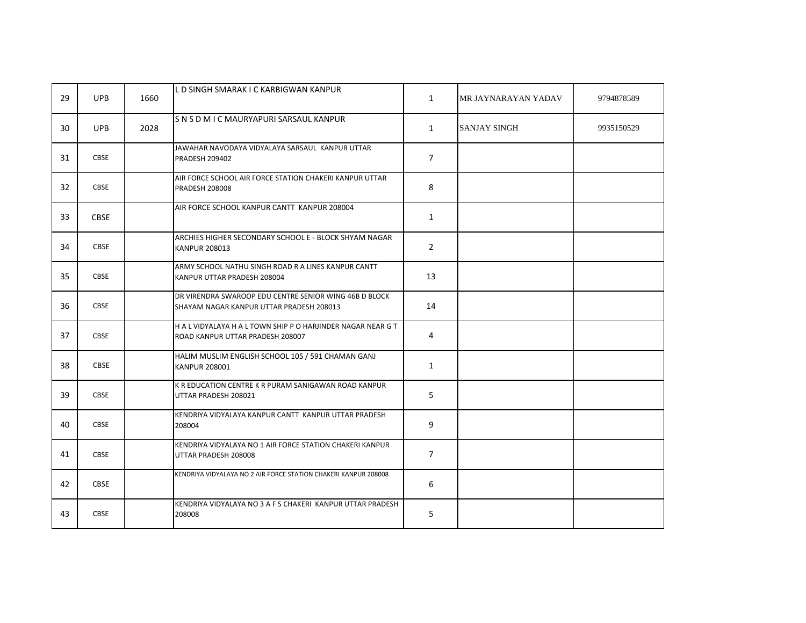| 29 | <b>UPB</b>  | 1660 | L D SINGH SMARAK I C KARBIGWAN KANPUR                                                              | $\mathbf{1}$   | MR JAYNARAYAN YADAV | 9794878589 |
|----|-------------|------|----------------------------------------------------------------------------------------------------|----------------|---------------------|------------|
| 30 | <b>UPB</b>  | 2028 | SNSDMICMAURYAPURI SARSAUL KANPUR                                                                   | $\mathbf{1}$   | <b>SANJAY SINGH</b> | 9935150529 |
| 31 | <b>CBSE</b> |      | JAWAHAR NAVODAYA VIDYALAYA SARSAUL KANPUR UTTAR<br><b>PRADESH 209402</b>                           | $\overline{7}$ |                     |            |
| 32 | <b>CBSE</b> |      | AIR FORCE SCHOOL AIR FORCE STATION CHAKERI KANPUR UTTAR<br><b>PRADESH 208008</b>                   | 8              |                     |            |
| 33 | <b>CBSE</b> |      | AIR FORCE SCHOOL KANPUR CANTT KANPUR 208004                                                        | $\mathbf{1}$   |                     |            |
| 34 | <b>CBSE</b> |      | ARCHIES HIGHER SECONDARY SCHOOL E - BLOCK SHYAM NAGAR<br><b>KANPUR 208013</b>                      | $\overline{2}$ |                     |            |
| 35 | <b>CBSE</b> |      | ARMY SCHOOL NATHU SINGH ROAD R A LINES KANPUR CANTT<br>KANPUR UTTAR PRADESH 208004                 | 13             |                     |            |
| 36 | <b>CBSE</b> |      | DR VIRENDRA SWAROOP EDU CENTRE SENIOR WING 46B D BLOCK<br>SHAYAM NAGAR KANPUR UTTAR PRADESH 208013 | 14             |                     |            |
| 37 | <b>CBSE</b> |      | H A L VIDYALAYA H A L TOWN SHIP P O HARJINDER NAGAR NEAR G T<br>ROAD KANPUR UTTAR PRADESH 208007   | 4              |                     |            |
| 38 | <b>CBSE</b> |      | HALIM MUSLIM ENGLISH SCHOOL 105 / 591 CHAMAN GANJ<br><b>KANPUR 208001</b>                          | $\mathbf{1}$   |                     |            |
| 39 | <b>CBSE</b> |      | K R EDUCATION CENTRE K R PURAM SANIGAWAN ROAD KANPUR<br>UTTAR PRADESH 208021                       | 5              |                     |            |
| 40 | <b>CBSE</b> |      | KENDRIYA VIDYALAYA KANPUR CANTT KANPUR UTTAR PRADESH<br>208004                                     | 9              |                     |            |
| 41 | <b>CBSE</b> |      | KENDRIYA VIDYALAYA NO 1 AIR FORCE STATION CHAKERI KANPUR<br>UTTAR PRADESH 208008                   | $\overline{7}$ |                     |            |
| 42 | <b>CBSE</b> |      | KENDRIYA VIDYALAYA NO 2 AIR FORCE STATION CHAKERI KANPUR 208008                                    | 6              |                     |            |
| 43 | <b>CBSE</b> |      | KENDRIYA VIDYALAYA NO 3 A F S CHAKERI KANPUR UTTAR PRADESH<br>208008                               | 5              |                     |            |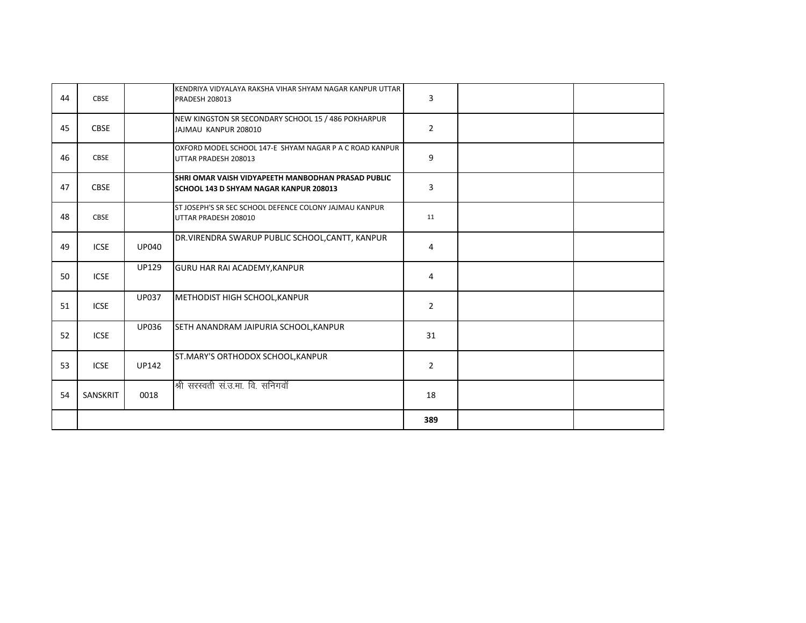| 44 | <b>CBSE</b> |              | KENDRIYA VIDYALAYA RAKSHA VIHAR SHYAM NAGAR KANPUR UTTAR<br><b>PRADESH 208013</b>                   | 3              |  |
|----|-------------|--------------|-----------------------------------------------------------------------------------------------------|----------------|--|
| 45 | <b>CBSE</b> |              | NEW KINGSTON SR SECONDARY SCHOOL 15 / 486 POKHARPUR<br>JAJMAU KANPUR 208010                         | $\overline{2}$ |  |
| 46 | <b>CBSE</b> |              | OXFORD MODEL SCHOOL 147-E SHYAM NAGAR P A C ROAD KANPUR<br>UTTAR PRADESH 208013                     | 9              |  |
| 47 | <b>CBSE</b> |              | SHRI OMAR VAISH VIDYAPEETH MANBODHAN PRASAD PUBLIC<br><b>SCHOOL 143 D SHYAM NAGAR KANPUR 208013</b> | 3              |  |
| 48 | <b>CBSE</b> |              | ST JOSEPH'S SR SEC SCHOOL DEFENCE COLONY JAJMAU KANPUR<br>UTTAR PRADESH 208010                      | 11             |  |
| 49 | <b>ICSE</b> | <b>UP040</b> | DR. VIRENDRA SWARUP PUBLIC SCHOOL, CANTT, KANPUR                                                    | 4              |  |
| 50 | <b>ICSE</b> | <b>UP129</b> | <b>GURU HAR RAI ACADEMY, KANPUR</b>                                                                 | 4              |  |
| 51 | <b>ICSE</b> | <b>UP037</b> | <b>METHODIST HIGH SCHOOL, KANPUR</b>                                                                | $\overline{2}$ |  |
| 52 | <b>ICSE</b> | <b>UP036</b> | SETH ANANDRAM JAIPURIA SCHOOL, KANPUR                                                               | 31             |  |
| 53 | <b>ICSE</b> | <b>UP142</b> | ST.MARY'S ORTHODOX SCHOOL, KANPUR                                                                   | $\overline{2}$ |  |
| 54 | SANSKRIT    | 0018         | श्री सरस्वती सं.उ.मा. वि. सनिगवॉ                                                                    | 18             |  |
|    |             |              |                                                                                                     | 389            |  |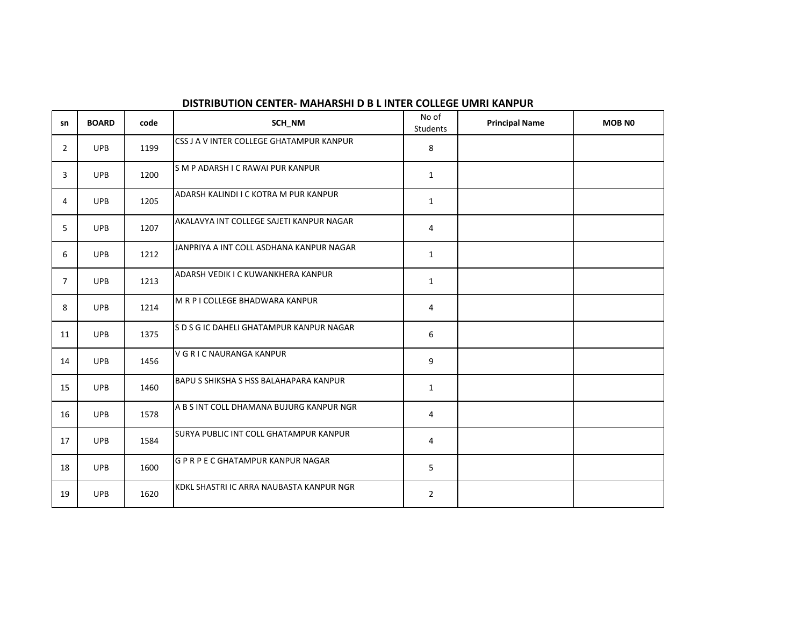| sn             | <b>BOARD</b> | code | SCH_NM                                   | No of<br>Students | <b>Principal Name</b> | <b>MOB NO</b> |
|----------------|--------------|------|------------------------------------------|-------------------|-----------------------|---------------|
| $\overline{2}$ | <b>UPB</b>   | 1199 | CSS J A V INTER COLLEGE GHATAMPUR KANPUR | 8                 |                       |               |
| 3              | <b>UPB</b>   | 1200 | SM P ADARSH I C RAWAI PUR KANPUR         | $\mathbf{1}$      |                       |               |
| 4              | <b>UPB</b>   | 1205 | ADARSH KALINDI I C KOTRA M PUR KANPUR    | $\mathbf{1}$      |                       |               |
| 5              | <b>UPB</b>   | 1207 | AKALAVYA INT COLLEGE SAJETI KANPUR NAGAR | $\overline{4}$    |                       |               |
| 6              | <b>UPB</b>   | 1212 | JANPRIYA A INT COLL ASDHANA KANPUR NAGAR | $\mathbf{1}$      |                       |               |
| $\overline{7}$ | <b>UPB</b>   | 1213 | ADARSH VEDIK I C KUWANKHERA KANPUR       | $\mathbf{1}$      |                       |               |
| 8              | <b>UPB</b>   | 1214 | M R P I COLLEGE BHADWARA KANPUR          | 4                 |                       |               |
| 11             | <b>UPB</b>   | 1375 | S D S G IC DAHELI GHATAMPUR KANPUR NAGAR | 6                 |                       |               |
| 14             | <b>UPB</b>   | 1456 | V G R I C NAURANGA KANPUR                | 9                 |                       |               |
| 15             | <b>UPB</b>   | 1460 | BAPU S SHIKSHA S HSS BALAHAPARA KANPUR   | $\mathbf{1}$      |                       |               |
| 16             | <b>UPB</b>   | 1578 | A B S INT COLL DHAMANA BUJURG KANPUR NGR | 4                 |                       |               |
| 17             | <b>UPB</b>   | 1584 | SURYA PUBLIC INT COLL GHATAMPUR KANPUR   | 4                 |                       |               |
| 18             | <b>UPB</b>   | 1600 | G P R P E C GHATAMPUR KANPUR NAGAR       | 5                 |                       |               |
| 19             | <b>UPB</b>   | 1620 | KDKL SHASTRI IC ARRA NAUBASTA KANPUR NGR | $\overline{2}$    |                       |               |

### **DISTRIBUTION CENTER- MAHARSHI D B L INTER COLLEGE UMRI KANPUR**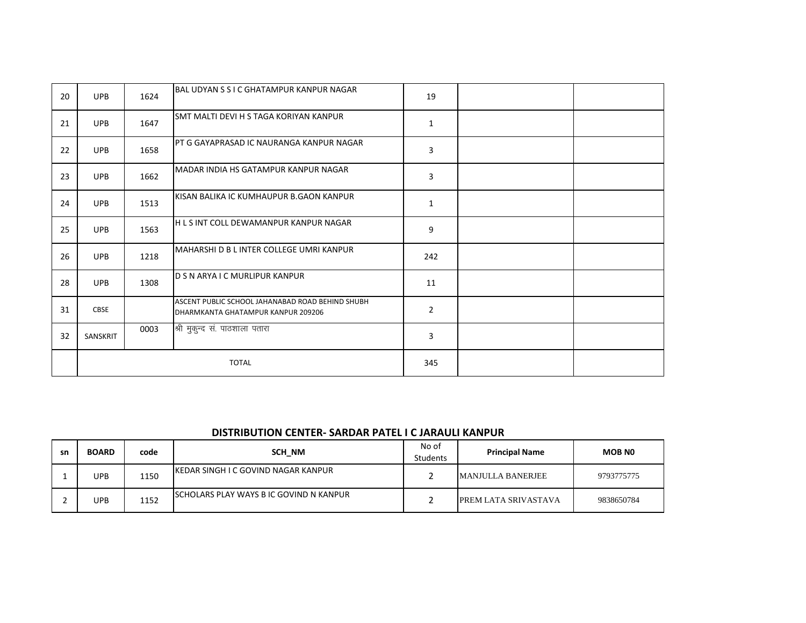| 20 | <b>UPB</b>   | 1624 | IBAL UDYAN S S I C GHATAMPUR KANPUR NAGAR                                              | 19             |  |
|----|--------------|------|----------------------------------------------------------------------------------------|----------------|--|
| 21 | <b>UPB</b>   | 1647 | ISMT MALTI DEVI H S TAGA KORIYAN KANPUR                                                | $\mathbf{1}$   |  |
| 22 | <b>UPB</b>   | 1658 | IPT G GAYAPRASAD IC NAURANGA KANPUR NAGAR                                              | 3              |  |
| 23 | <b>UPB</b>   | 1662 | MADAR INDIA HS GATAMPUR KANPUR NAGAR                                                   | 3              |  |
| 24 | <b>UPB</b>   | 1513 | KISAN BALIKA IC KUMHAUPUR B.GAON KANPUR                                                | $\mathbf{1}$   |  |
| 25 | <b>UPB</b>   | 1563 | IH L S INT COLL DEWAMANPUR KANPUR NAGAR                                                | 9              |  |
| 26 | <b>UPB</b>   | 1218 | MAHARSHI D B L INTER COLLEGE UMRI KANPUR                                               | 242            |  |
| 28 | <b>UPB</b>   | 1308 | <b>D S N ARYA I C MURLIPUR KANPUR</b>                                                  | 11             |  |
| 31 | <b>CBSE</b>  |      | ASCENT PUBLIC SCHOOL JAHANABAD ROAD BEHIND SHUBH<br>DHARMKANTA GHATAMPUR KANPUR 209206 | $\overline{2}$ |  |
| 32 | SANSKRIT     | 0003 | श्री मुकुन्द सं. पाठशाला पतारा                                                         | 3              |  |
|    | <b>TOTAL</b> |      |                                                                                        | 345            |  |

#### **DISTRIBUTION CENTER- SARDAR PATEL I C JARAULI KANPUR**

| sn | <b>BOARD</b> | code | SCH NM                                         | No of<br><b>Students</b> | <b>Principal Name</b>       | <b>MOB NO</b> |
|----|--------------|------|------------------------------------------------|--------------------------|-----------------------------|---------------|
|    | UPB          | 1150 | IKEDAR SINGH I C GOVIND NAGAR KANPUR           |                          | MANJULLA BANERJEE           | 9793775775    |
|    | UPB          | 1152 | <b>ISCHOLARS PLAY WAYS BIC GOVIND N KANPUR</b> |                          | <b>PREM LATA SRIVASTAVA</b> | 9838650784    |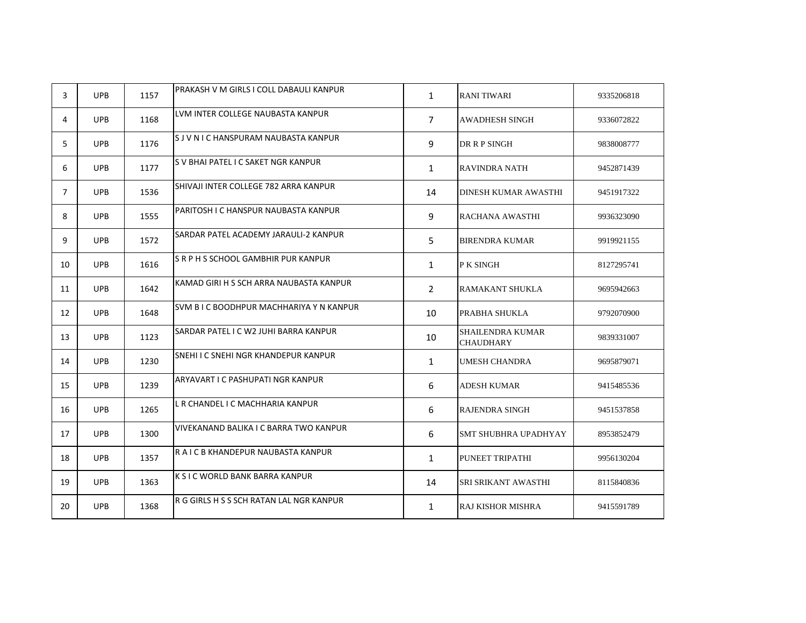| 3              | <b>UPB</b> | 1157 | PRAKASH V M GIRLS I COLL DABAULI KANPUR  | $\mathbf{1}$   | <b>RANI TIWARI</b>                          | 9335206818 |
|----------------|------------|------|------------------------------------------|----------------|---------------------------------------------|------------|
| 4              | <b>UPB</b> | 1168 | LVM INTER COLLEGE NAUBASTA KANPUR        | $\overline{7}$ | AWADHESH SINGH                              | 9336072822 |
| 5              | <b>UPB</b> | 1176 | S J V N I C HANSPURAM NAUBASTA KANPUR    | 9              | DR R P SINGH                                | 9838008777 |
| 6              | <b>UPB</b> | 1177 | S V BHAI PATEL I C SAKET NGR KANPUR      | $\mathbf{1}$   | <b>RAVINDRA NATH</b>                        | 9452871439 |
| $\overline{7}$ | <b>UPB</b> | 1536 | SHIVAJI INTER COLLEGE 782 ARRA KANPUR    | 14             | DINESH KUMAR AWASTHI                        | 9451917322 |
| 8              | <b>UPB</b> | 1555 | PARITOSH I C HANSPUR NAUBASTA KANPUR     | 9              | RACHANA AWASTHI                             | 9936323090 |
| 9              | <b>UPB</b> | 1572 | SARDAR PATEL ACADEMY JARAULI-2 KANPUR    | 5              | <b>BIRENDRA KUMAR</b>                       | 9919921155 |
| 10             | <b>UPB</b> | 1616 | S R P H S SCHOOL GAMBHIR PUR KANPUR      | $\mathbf{1}$   | P K SINGH                                   | 8127295741 |
| 11             | <b>UPB</b> | 1642 | KAMAD GIRI H S SCH ARRA NAUBASTA KANPUR  | $\overline{2}$ | RAMAKANT SHUKLA                             | 9695942663 |
| 12             | <b>UPB</b> | 1648 | SVM B I C BOODHPUR MACHHARIYA Y N KANPUR | 10             | PRABHA SHUKLA                               | 9792070900 |
| 13             | <b>UPB</b> | 1123 | SARDAR PATEL I C W2 JUHI BARRA KANPUR    | 10             | <b>SHAILENDRA KUMAR</b><br><b>CHAUDHARY</b> | 9839331007 |
| 14             | <b>UPB</b> | 1230 | SNEHI I C SNEHI NGR KHANDEPUR KANPUR     | $\mathbf{1}$   | <b>UMESH CHANDRA</b>                        | 9695879071 |
| 15             | <b>UPB</b> | 1239 | ARYAVART I C PASHUPATI NGR KANPUR        | 6              | ADESH KUMAR                                 | 9415485536 |
| 16             | <b>UPB</b> | 1265 | L R CHANDEL I C MACHHARIA KANPUR         | 6              | RAJENDRA SINGH                              | 9451537858 |
| 17             | <b>UPB</b> | 1300 | VIVEKANAND BALIKA I C BARRA TWO KANPUR   | 6              | SMT SHUBHRA UPADHYAY                        | 8953852479 |
| 18             | <b>UPB</b> | 1357 | R A I C B KHANDEPUR NAUBASTA KANPUR      | $\mathbf{1}$   | PUNEET TRIPATHI                             | 9956130204 |
| 19             | <b>UPB</b> | 1363 | K S I C WORLD BANK BARRA KANPUR          | 14             | SRI SRIKANT AWASTHI                         | 8115840836 |
| 20             | <b>UPB</b> | 1368 | R G GIRLS H S S SCH RATAN LAL NGR KANPUR | $\mathbf{1}$   | <b>RAJ KISHOR MISHRA</b>                    | 9415591789 |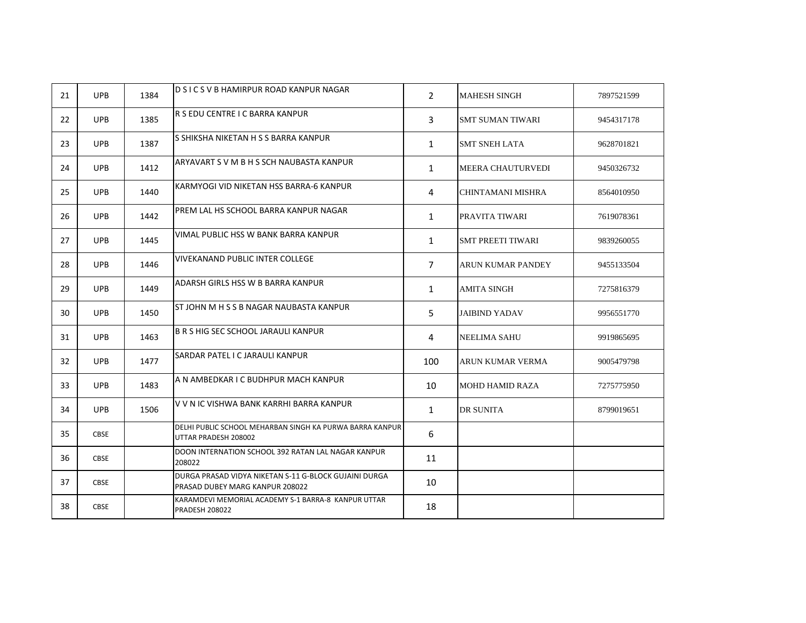| 21 | <b>UPB</b>  | 1384 | D S I C S V B HAMIRPUR ROAD KANPUR NAGAR                                                 | $\overline{2}$ | <b>MAHESH SINGH</b>      | 7897521599 |
|----|-------------|------|------------------------------------------------------------------------------------------|----------------|--------------------------|------------|
| 22 | <b>UPB</b>  | 1385 | R S EDU CENTRE I C BARRA KANPUR                                                          | 3              | <b>SMT SUMAN TIWARI</b>  | 9454317178 |
| 23 | <b>UPB</b>  | 1387 | S SHIKSHA NIKETAN H S S BARRA KANPUR                                                     | $\mathbf{1}$   | <b>SMT SNEH LATA</b>     | 9628701821 |
| 24 | <b>UPB</b>  | 1412 | ARYAVART S V M B H S SCH NAUBASTA KANPUR                                                 | $\mathbf{1}$   | <b>MEERA CHAUTURVEDI</b> | 9450326732 |
| 25 | <b>UPB</b>  | 1440 | KARMYOGI VID NIKETAN HSS BARRA-6 KANPUR                                                  | 4              | CHINTAMANI MISHRA        | 8564010950 |
| 26 | <b>UPB</b>  | 1442 | PREM LAL HS SCHOOL BARRA KANPUR NAGAR                                                    | $\mathbf{1}$   | PRAVITA TIWARI           | 7619078361 |
| 27 | <b>UPB</b>  | 1445 | VIMAL PUBLIC HSS W BANK BARRA KANPUR                                                     | $\mathbf{1}$   | <b>SMT PREETI TIWARI</b> | 9839260055 |
| 28 | <b>UPB</b>  | 1446 | VIVEKANAND PUBLIC INTER COLLEGE                                                          | $\overline{7}$ | ARUN KUMAR PANDEY        | 9455133504 |
| 29 | <b>UPB</b>  | 1449 | ADARSH GIRLS HSS W B BARRA KANPUR                                                        | $\mathbf{1}$   | <b>AMITA SINGH</b>       | 7275816379 |
| 30 | <b>UPB</b>  | 1450 | ST JOHN M H S S B NAGAR NAUBASTA KANPUR                                                  | 5              | <b>JAIBIND YADAV</b>     | 9956551770 |
| 31 | <b>UPB</b>  | 1463 | <b>B R S HIG SEC SCHOOL JARAULI KANPUR</b>                                               | 4              | <b>NEELIMA SAHU</b>      | 9919865695 |
| 32 | <b>UPB</b>  | 1477 | SARDAR PATEL I C JARAULI KANPUR                                                          | 100            | <b>ARUN KUMAR VERMA</b>  | 9005479798 |
| 33 | <b>UPB</b>  | 1483 | A N AMBEDKAR I C BUDHPUR MACH KANPUR                                                     | 10             | <b>MOHD HAMID RAZA</b>   | 7275775950 |
| 34 | <b>UPB</b>  | 1506 | V V N IC VISHWA BANK KARRHI BARRA KANPUR                                                 | $\mathbf{1}$   | <b>DR SUNITA</b>         | 8799019651 |
| 35 | <b>CBSE</b> |      | DELHI PUBLIC SCHOOL MEHARBAN SINGH KA PURWA BARRA KANPUR<br>UTTAR PRADESH 208002         | 6              |                          |            |
| 36 | <b>CBSE</b> |      | DOON INTERNATION SCHOOL 392 RATAN LAL NAGAR KANPUR<br>208022                             | 11             |                          |            |
| 37 | <b>CBSE</b> |      | DURGA PRASAD VIDYA NIKETAN S-11 G-BLOCK GUJAINI DURGA<br>PRASAD DUBEY MARG KANPUR 208022 | 10             |                          |            |
| 38 | <b>CBSE</b> |      | KARAMDEVI MEMORIAL ACADEMY S-1 BARRA-8 KANPUR UTTAR<br><b>PRADESH 208022</b>             | 18             |                          |            |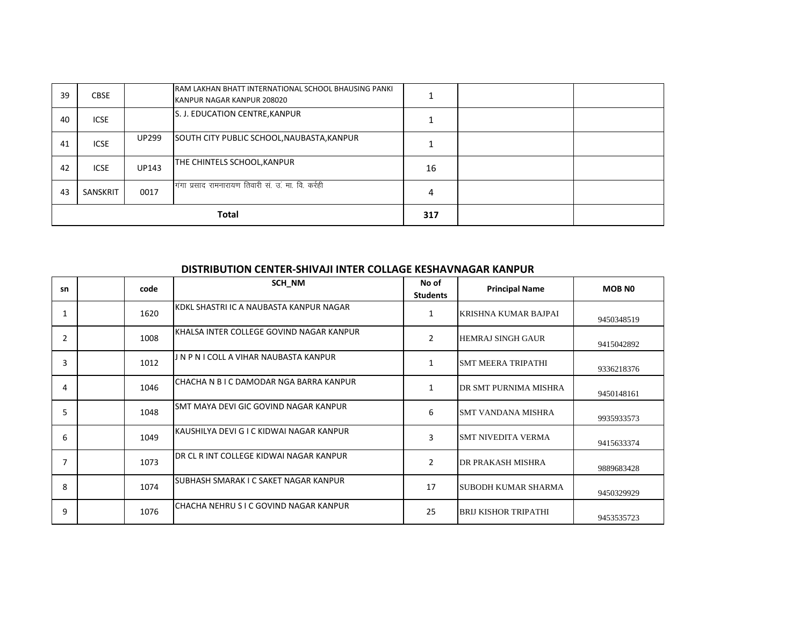| 39 | <b>CBSE</b>  |              | <b>RAM LAKHAN BHATT INTERNATIONAL SCHOOL BHAUSING PANKL</b><br>KANPUR NAGAR KANPUR 208020 |     |  |
|----|--------------|--------------|-------------------------------------------------------------------------------------------|-----|--|
| 40 | <b>ICSE</b>  |              | S. J. EDUCATION CENTRE, KANPUR                                                            |     |  |
| 41 | <b>ICSE</b>  | <b>UP299</b> | SOUTH CITY PUBLIC SCHOOL, NAUBASTA, KANPUR                                                |     |  |
| 42 | <b>ICSE</b>  | UP143        | THE CHINTELS SCHOOL, KANPUR                                                               | 16  |  |
| 43 | SANSKRIT     | 0017         | गंगा प्रसाद रामनारायण तिवारी सं. उ. मा. वि. कर्रही                                        | 4   |  |
|    | <b>Total</b> |              |                                                                                           | 317 |  |

#### **DISTRIBUTION CENTER-SHIVAJI INTER COLLAGE KESHAVNAGAR KANPUR**

| sn             | code | SCH NM                                    | No of<br><b>Students</b> | <b>Principal Name</b>       | <b>MOB NO</b> |
|----------------|------|-------------------------------------------|--------------------------|-----------------------------|---------------|
| $\mathbf{1}$   | 1620 | KDKL SHASTRI IC A NAUBASTA KANPUR NAGAR   | 1                        | KRISHNA KUMAR BAJPAI        | 9450348519    |
| $\overline{2}$ | 1008 | İKHALSA INTER COLLEGE GOVIND NAGAR KANPUR | $\overline{2}$           | <b>HEMRAJ SINGH GAUR</b>    | 9415042892    |
| 3              | 1012 | J N P N I COLL A VIHAR NAUBASTA KANPUR    | 1                        | <b>SMT MEERA TRIPATHI</b>   | 9336218376    |
| 4              | 1046 | CHACHA N B I C DAMODAR NGA BARRA KANPUR   | $\mathbf{1}$             | DR SMT PURNIMA MISHRA       | 9450148161    |
| 5              | 1048 | SMT MAYA DEVI GIC GOVIND NAGAR KANPUR     | 6                        | <b>SMT VANDANA MISHRA</b>   | 9935933573    |
| 6              | 1049 | IKAUSHILYA DEVI G I C KIDWAI NAGAR KANPUR | 3                        | <b>SMT NIVEDITA VERMA</b>   | 9415633374    |
| 7              | 1073 | IDR CL R INT COLLEGE KIDWAI NAGAR KANPUR  | $\overline{2}$           | <b>DR PRAKASH MISHRA</b>    | 9889683428    |
| 8              | 1074 | SUBHASH SMARAK I C SAKET NAGAR KANPUR     | 17                       | <b>SUBODH KUMAR SHARMA</b>  | 9450329929    |
| 9              | 1076 | CHACHA NEHRU S I C GOVIND NAGAR KANPUR    | 25                       | <b>BRIJ KISHOR TRIPATHI</b> | 9453535723    |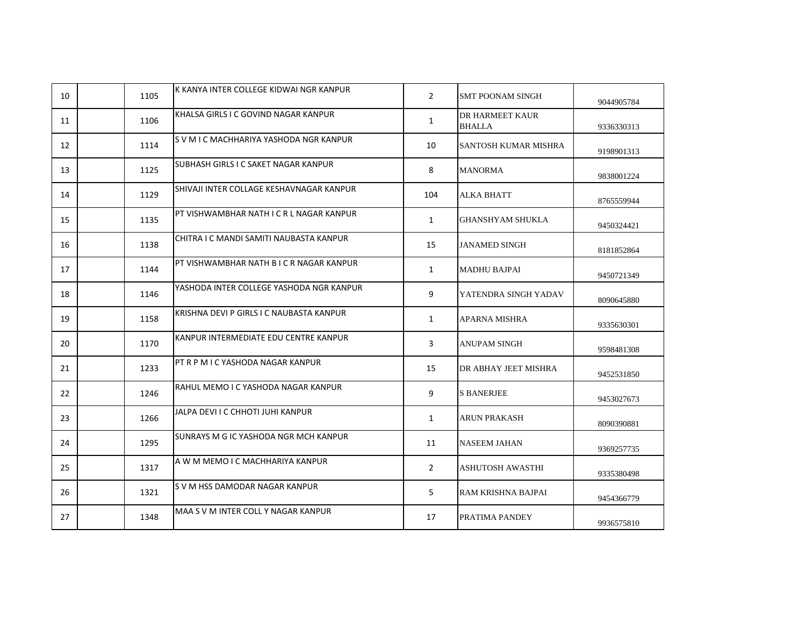| 10 | 1105 | IK KANYA INTER COLLEGE KIDWAI NGR KANPUR | $\overline{2}$ | SMT POONAM SINGH                 | 9044905784 |
|----|------|------------------------------------------|----------------|----------------------------------|------------|
| 11 | 1106 | KHALSA GIRLS I C GOVIND NAGAR KANPUR     | $\mathbf{1}$   | DR HARMEET KAUR<br><b>BHALLA</b> | 9336330313 |
| 12 | 1114 | S V M I C MACHHARIYA YASHODA NGR KANPUR  | 10             | SANTOSH KUMAR MISHRA             | 9198901313 |
| 13 | 1125 | SUBHASH GIRLS I C SAKET NAGAR KANPUR     | 8              | <b>MANORMA</b>                   | 9838001224 |
| 14 | 1129 | SHIVAJI INTER COLLAGE KESHAVNAGAR KANPUR | 104            | <b>ALKA BHATT</b>                | 8765559944 |
| 15 | 1135 | PT VISHWAMBHAR NATH I C R L NAGAR KANPUR | $\mathbf{1}$   | GHANSHYAM SHUKLA                 | 9450324421 |
| 16 | 1138 | CHITRA I C MANDI SAMITI NAUBASTA KANPUR  | 15             | <b>JANAMED SINGH</b>             | 8181852864 |
| 17 | 1144 | PT VISHWAMBHAR NATH B I C R NAGAR KANPUR | $\mathbf{1}$   | <b>MADHU BAJPAI</b>              | 9450721349 |
| 18 | 1146 | YASHODA INTER COLLEGE YASHODA NGR KANPUR | 9              | YATENDRA SINGH YADAV             | 8090645880 |
| 19 | 1158 | KRISHNA DEVI P GIRLS I C NAUBASTA KANPUR | $\mathbf{1}$   | APARNA MISHRA                    | 9335630301 |
| 20 | 1170 | KANPUR INTERMEDIATE EDU CENTRE KANPUR    | 3              | <b>ANUPAM SINGH</b>              | 9598481308 |
| 21 | 1233 | PT R P M I C YASHODA NAGAR KANPUR        | 15             | DR ABHAY JEET MISHRA             | 9452531850 |
| 22 | 1246 | RAHUL MEMO I C YASHODA NAGAR KANPUR      | 9              | <b>S BANERJEE</b>                | 9453027673 |
| 23 | 1266 | JALPA DEVI I C CHHOTI JUHI KANPUR        | $\mathbf{1}$   | <b>ARUN PRAKASH</b>              | 8090390881 |
| 24 | 1295 | SUNRAYS M G IC YASHODA NGR MCH KANPUR    | 11             | NASEEM JAHAN                     | 9369257735 |
| 25 | 1317 | A W M MEMO I C MACHHARIYA KANPUR         | $\overline{2}$ | ASHUTOSH AWASTHI                 | 9335380498 |
| 26 | 1321 | S V M HSS DAMODAR NAGAR KANPUR           | 5              | RAM KRISHNA BAJPAI               | 9454366779 |
| 27 | 1348 | MAA S V M INTER COLL Y NAGAR KANPUR      | 17             | PRATIMA PANDEY                   | 9936575810 |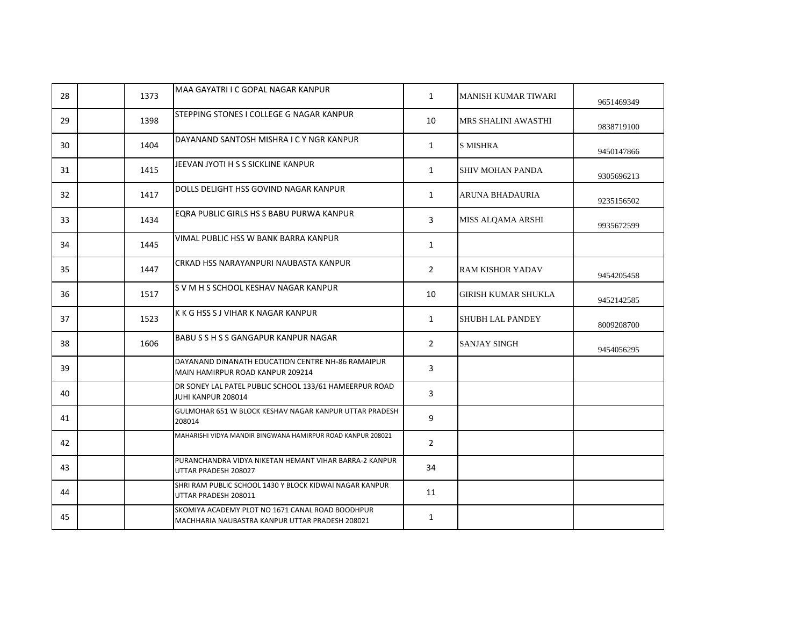| 28 | 1373 | MAA GAYATRI I C GOPAL NAGAR KANPUR                                                                  | $\mathbf{1}$   | <b>MANISH KUMAR TIWARI</b> | 9651469349 |
|----|------|-----------------------------------------------------------------------------------------------------|----------------|----------------------------|------------|
| 29 | 1398 | STEPPING STONES I COLLEGE G NAGAR KANPUR                                                            | 10             | MRS SHALINI AWASTHI        | 9838719100 |
| 30 | 1404 | DAYANAND SANTOSH MISHRA I C Y NGR KANPUR                                                            | $\mathbf{1}$   | <b>S MISHRA</b>            | 9450147866 |
| 31 | 1415 | JEEVAN JYOTI H S S SICKLINE KANPUR                                                                  | $\mathbf{1}$   | <b>SHIV MOHAN PANDA</b>    | 9305696213 |
| 32 | 1417 | DOLLS DELIGHT HSS GOVIND NAGAR KANPUR                                                               | $\mathbf{1}$   | <b>ARUNA BHADAURIA</b>     | 9235156502 |
| 33 | 1434 | EQRA PUBLIC GIRLS HS S BABU PURWA KANPUR                                                            | 3              | MISS ALQAMA ARSHI          | 9935672599 |
| 34 | 1445 | VIMAL PUBLIC HSS W BANK BARRA KANPUR                                                                | $\mathbf{1}$   |                            |            |
| 35 | 1447 | CRKAD HSS NARAYANPURI NAUBASTA KANPUR                                                               | $\overline{2}$ | <b>RAM KISHOR YADAV</b>    | 9454205458 |
| 36 | 1517 | S V M H S SCHOOL KESHAV NAGAR KANPUR                                                                | 10             | <b>GIRISH KUMAR SHUKLA</b> | 9452142585 |
| 37 | 1523 | K K G HSS S J VIHAR K NAGAR KANPUR                                                                  | $\mathbf{1}$   | <b>SHUBH LAL PANDEY</b>    | 8009208700 |
| 38 | 1606 | BABU S S H S S GANGAPUR KANPUR NAGAR                                                                | $\overline{2}$ | <b>SANJAY SINGH</b>        | 9454056295 |
| 39 |      | DAYANAND DINANATH EDUCATION CENTRE NH-86 RAMAIPUR<br>MAIN HAMIRPUR ROAD KANPUR 209214               | 3              |                            |            |
| 40 |      | DR SONEY LAL PATEL PUBLIC SCHOOL 133/61 HAMEERPUR ROAD<br>JUHI KANPUR 208014                        | 3              |                            |            |
| 41 |      | GULMOHAR 651 W BLOCK KESHAV NAGAR KANPUR UTTAR PRADESH<br>208014                                    | 9              |                            |            |
| 42 |      | MAHARISHI VIDYA MANDIR BINGWANA HAMIRPUR ROAD KANPUR 208021                                         | $\overline{2}$ |                            |            |
| 43 |      | PURANCHANDRA VIDYA NIKETAN HEMANT VIHAR BARRA-2 KANPUR<br>UTTAR PRADESH 208027                      | 34             |                            |            |
| 44 |      | SHRI RAM PUBLIC SCHOOL 1430 Y BLOCK KIDWAI NAGAR KANPUR<br>UTTAR PRADESH 208011                     | 11             |                            |            |
| 45 |      | SKOMIYA ACADEMY PLOT NO 1671 CANAL ROAD BOODHPUR<br>MACHHARIA NAUBASTRA KANPUR UTTAR PRADESH 208021 | $\mathbf{1}$   |                            |            |